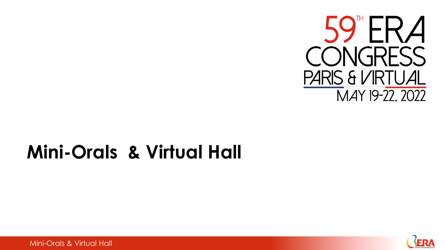

## **Mini-Orals & Virtual Hall**



Mini-Orals & Virtual Hall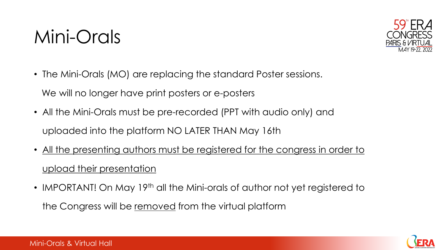## Mini-Orals



- The Mini-Orals (MO) are replacing the standard Poster sessions. We will no longer have print posters or e-posters
- All the Mini-Orals must be pre-recorded (PPT with audio only) and uploaded into the platform NO LATER THAN May 16th
- All the presenting authors must be registered for the congress in order to upload their presentation
- IMPORTANT! On May 19<sup>th</sup> all the Mini-orals of author not yet registered to the Congress will be removed from the virtual platform

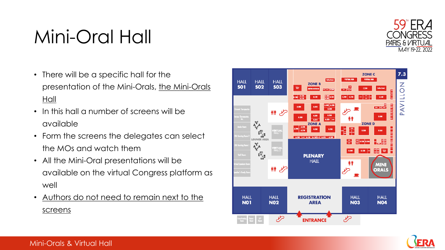# Mini-Oral Hall

- There will be a specific hall for the presentation of the Mini-Orals, the Mini-Orals Hall
- In this hall a number of screens will be available
- Form the screens the delegates can select the MOs and watch them
- All the Mini-Oral presentations will be available on the virtual Congress platform as well
- Authors do not need to remain next to the screens

Mini-Orals & Virtual Hall







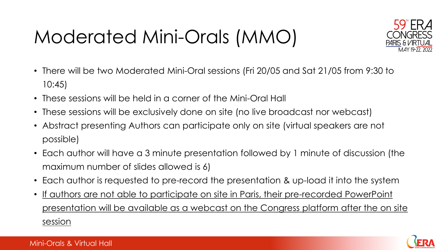# Moderated Mini-Orals (MMO)



- There will be two Moderated Mini-Oral sessions (Fri 20/05 and Sat 21/05 from 9:30 to 10:45)
- These sessions will be held in a corner of the Mini-Oral Hall
- These sessions will be exclusively done on site (no live broadcast nor webcast)
- Abstract presenting Authors can participate only on site (virtual speakers are not possible)
- Each author will have a 3 minute presentation followed by 1 minute of discussion (the maximum number of slides allowed is 6)
- Each author is requested to pre-record the presentation & up-load it into the system
- If authors are not able to participate on site in Paris, their pre-recorded PowerPoint presentation will be available as a webcast on the Congress platform after the on site session

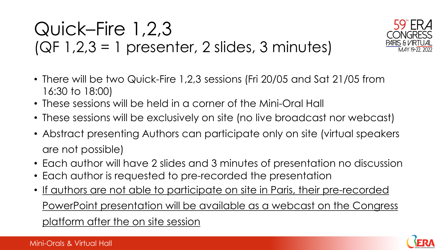### Quick–Fire 1,2,3  $(QF 1,2,3 = 1$  presenter, 2 slides, 3 minutes)



- There will be two Quick-Fire 1,2,3 sessions (Fri 20/05 and Sat 21/05 from 16:30 to 18:00)
- These sessions will be held in a corner of the Mini-Oral Hall
- These sessions will be exclusively on site (no live broadcast nor webcast)
- Abstract presenting Authors can participate only on site (virtual speakers are not possible)
- Each author will have 2 slides and 3 minutes of presentation no discussion
- Each author is requested to pre-recorded the presentation
- If authors are not able to participate on site in Paris, their pre-recorded PowerPoint presentation will be available as a webcast on the Congress platform after the on site session